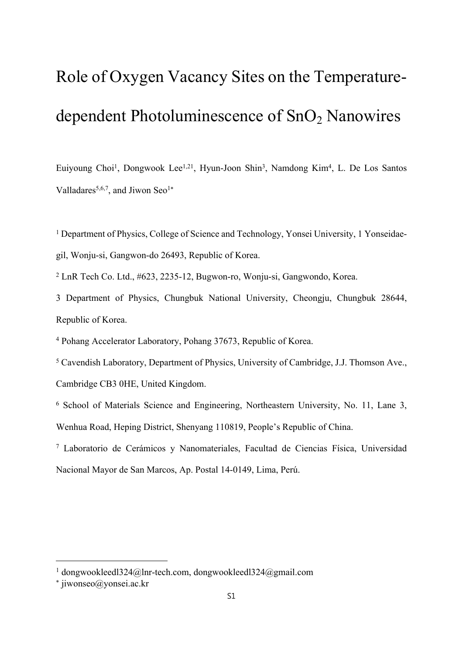## Role of Oxygen Vacancy Sites on the Temperaturedependent Photoluminescence of  $SnO<sub>2</sub>$  Nanowires

Euiyoung Choi<sup>1</sup>, Dongwook Lee<sup>1,21</sup>, Hyun-Joon Shin<sup>3</sup>, Namdong Kim<sup>4</sup>, L. De Los Santos Valladares<sup>5,6,7</sup>, and Jiwon Seo<sup>1\*</sup>

<sup>1</sup> Department of Physics, College of Science and Technology, Yonsei University, 1 Yonseidaegil, Wonju-si, Gangwon-do 26493, Republic of Korea.

2 LnR Tech Co. Ltd., #623, 2235-12, Bugwon-ro, Wonju-si, Gangwondo, Korea.

3 Department of Physics, Chungbuk National University, Cheongju, Chungbuk 28644, Republic of Korea.

4 Pohang Accelerator Laboratory, Pohang 37673, Republic of Korea.

<sup>5</sup> Cavendish Laboratory, Department of Physics, University of Cambridge, J.J. Thomson Ave., Cambridge CB3 0HE, United Kingdom.

6 School of Materials Science and Engineering, Northeastern University, No. 11, Lane 3, Wenhua Road, Heping District, Shenyang 110819, People's Republic of China.

7 Laboratorio de Cerámicos y Nanomateriales, Facultad de Ciencias Física, Universidad Nacional Mayor de San Marcos, Ap. Postal 14-0149, Lima, Perú.

<sup>1</sup> dongwookleedl324@lnr-tech.com, dongwookleedl324@gmail.com

 jiwonseo@yonsei.ac.kr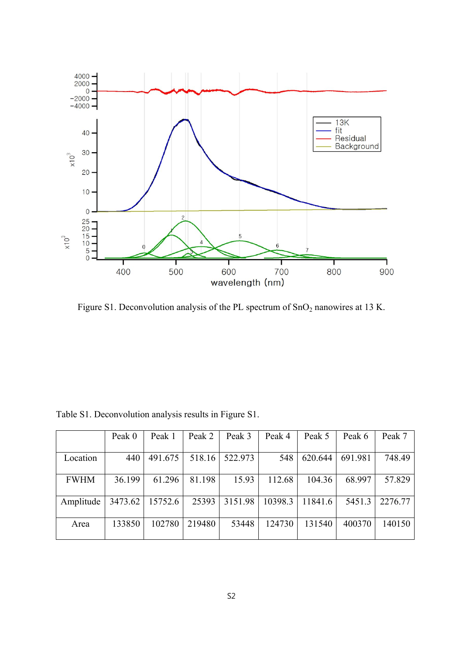

Figure S1. Deconvolution analysis of the PL spectrum of SnO<sub>2</sub> nanowires at 13 K.

|             | Peak 0  | Peak 1  | Peak 2 | Peak 3  | Peak 4  | Peak 5  | Peak 6  | Peak 7  |
|-------------|---------|---------|--------|---------|---------|---------|---------|---------|
|             |         |         |        |         |         |         |         |         |
| Location    | 440     | 491.675 | 518.16 | 522.973 | 548     | 620.644 | 691.981 | 748.49  |
|             |         |         |        |         |         |         |         |         |
| <b>FWHM</b> | 36.199  | 61.296  | 81.198 | 15.93   | 112.68  | 104.36  | 68.997  | 57.829  |
|             |         |         |        |         |         |         |         |         |
| Amplitude   | 3473.62 | 15752.6 | 25393  | 3151.98 | 10398.3 | 11841.6 | 5451.3  | 2276.77 |
|             |         |         |        |         |         |         |         |         |
| Area        | 133850  | 102780  | 219480 | 53448   | 124730  | 131540  | 400370  | 140150  |
|             |         |         |        |         |         |         |         |         |

Table S1. Deconvolution analysis results in Figure S1.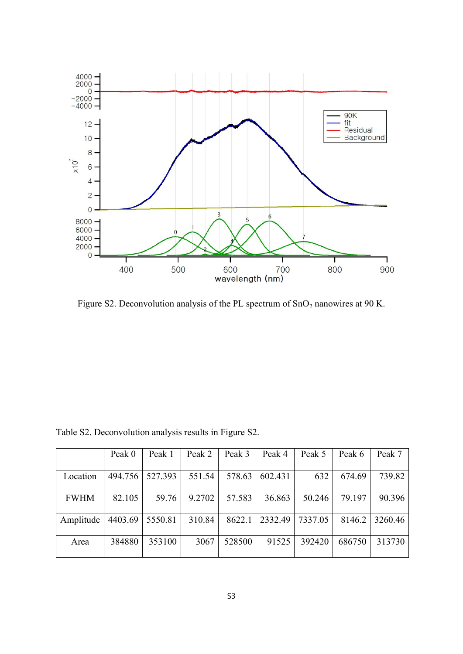

Figure S2. Deconvolution analysis of the PL spectrum of SnO<sub>2</sub> nanowires at 90 K.

|             | Peak 0  | Peak 1  | Peak 2 | Peak 3 | Peak 4  | Peak 5  | Peak 6 | Peak 7  |
|-------------|---------|---------|--------|--------|---------|---------|--------|---------|
| Location    | 494.756 | 527.393 | 551.54 | 578.63 | 602.431 | 632     | 674.69 | 739.82  |
| <b>FWHM</b> | 82.105  | 59.76   | 9.2702 | 57.583 | 36.863  | 50.246  | 79.197 | 90.396  |
| Amplitude   | 4403.69 | 5550.81 | 310.84 | 8622.1 | 2332.49 | 7337.05 | 8146.2 | 3260.46 |
| Area        | 384880  | 353100  | 3067   | 528500 | 91525   | 392420  | 686750 | 313730  |

Table S2. Deconvolution analysis results in Figure S2.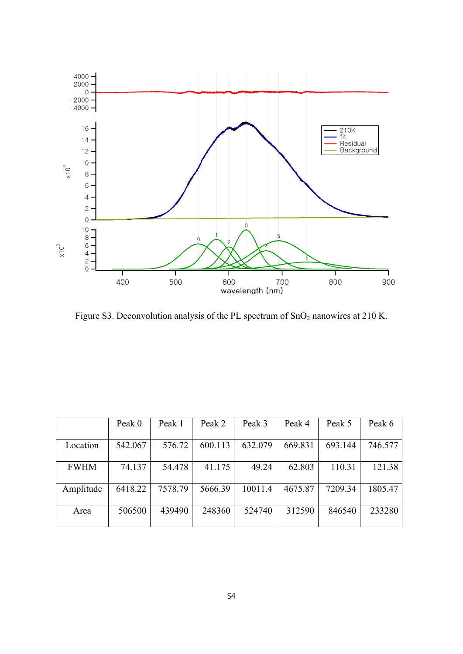

Figure S3. Deconvolution analysis of the PL spectrum of SnO<sub>2</sub> nanowires at 210 K.

|             | Peak 0  | Peak 1  | Peak 2  | Peak 3  | Peak 4  | Peak 5  | Peak 6  |
|-------------|---------|---------|---------|---------|---------|---------|---------|
| Location    | 542.067 | 576.72  | 600.113 | 632.079 | 669.831 | 693.144 | 746.577 |
| <b>FWHM</b> | 74.137  | 54.478  | 41.175  | 49.24   | 62.803  | 110.31  | 121.38  |
| Amplitude   | 6418.22 | 7578.79 | 5666.39 | 10011.4 | 4675.87 | 7209.34 | 1805.47 |
| Area        | 506500  | 439490  | 248360  | 524740  | 312590  | 846540  | 233280  |